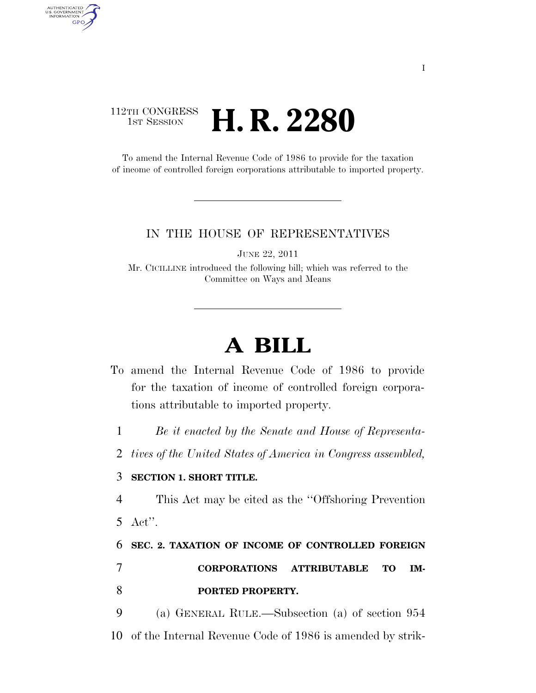## 112TH CONGRESS **HE CONGRESS H. R. 2280**

AUTHENTICATED<br>U.S. GOVERNMENT<br>INFORMATION GPO

> To amend the Internal Revenue Code of 1986 to provide for the taxation of income of controlled foreign corporations attributable to imported property.

## IN THE HOUSE OF REPRESENTATIVES

JUNE 22, 2011

Mr. CICILLINE introduced the following bill; which was referred to the Committee on Ways and Means

## **A BILL**

To amend the Internal Revenue Code of 1986 to provide for the taxation of income of controlled foreign corporations attributable to imported property.

1 *Be it enacted by the Senate and House of Representa-*

2 *tives of the United States of America in Congress assembled,* 

## 3 **SECTION 1. SHORT TITLE.**

4 This Act may be cited as the ''Offshoring Prevention 5 Act''.

6 **SEC. 2. TAXATION OF INCOME OF CONTROLLED FOREIGN** 

7 **CORPORATIONS ATTRIBUTABLE TO IM-**8 **PORTED PROPERTY.** 

9 (a) GENERAL RULE.—Subsection (a) of section 954 10 of the Internal Revenue Code of 1986 is amended by strik-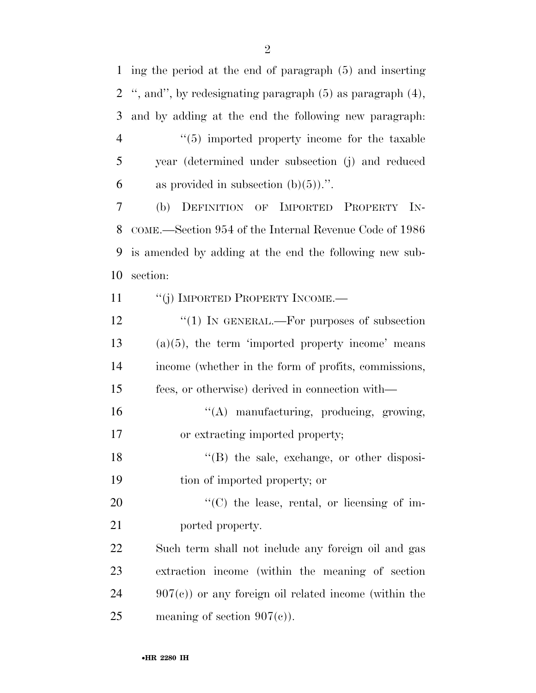ing the period at the end of paragraph (5) and inserting '', and'', by redesignating paragraph (5) as paragraph (4), and by adding at the end the following new paragraph:  $\frac{4}{5}$  imported property income for the taxable year (determined under subsection (j) and reduced 6 as provided in subsection  $(b)(5)$ .". (b) DEFINITION OF IMPORTED PROPERTY IN- COME.—Section 954 of the Internal Revenue Code of 1986 is amended by adding at the end the following new sub- section: 11 "(j) IMPORTED PROPERTY INCOME.— 12 "(1) IN GENERAL.—For purposes of subsection (a)(5), the term 'imported property income' means income (whether in the form of profits, commissions, fees, or otherwise) derived in connection with— ''(A) manufacturing, producing, growing, or extracting imported property; 18 ''(B) the sale, exchange, or other disposi- tion of imported property; or  $\text{``(C)}$  the lease, rental, or licensing of im-21 ported property. Such term shall not include any foreign oil and gas extraction income (within the meaning of section 907(c)) or any foreign oil related income (within the 25 meaning of section  $907(c)$ ).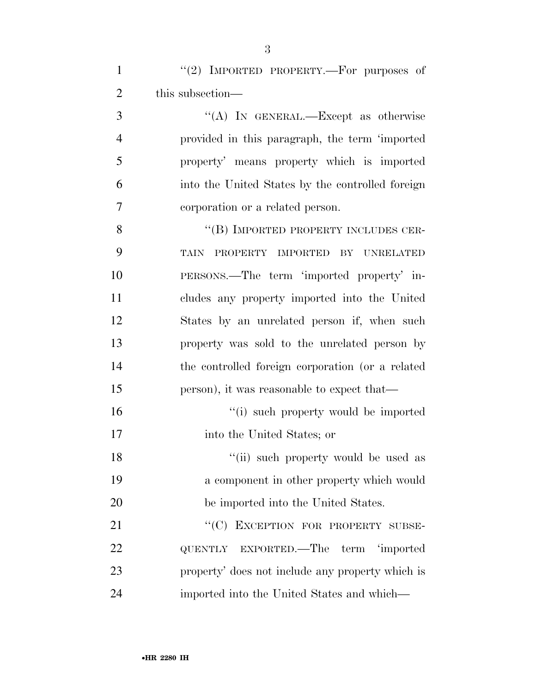1 "(2) IMPORTED PROPERTY.—For purposes of 2 this subsection—

3 ''(A) IN GENERAL.—Except as otherwise provided in this paragraph, the term 'imported property' means property which is imported into the United States by the controlled foreign corporation or a related person.

8 "(B) IMPORTED PROPERTY INCLUDES CER- TAIN PROPERTY IMPORTED BY UNRELATED PERSONS.—The term 'imported property' in- cludes any property imported into the United States by an unrelated person if, when such property was sold to the unrelated person by the controlled foreign corporation (or a related person), it was reasonable to expect that—

16  $\frac{1}{10}$  such property would be imported into the United States; or

18 ''(ii) such property would be used as a component in other property which would be imported into the United States.

21 "
(C) EXCEPTION FOR PROPERTY SUBSE- QUENTLY EXPORTED.—The term 'imported property' does not include any property which is imported into the United States and which—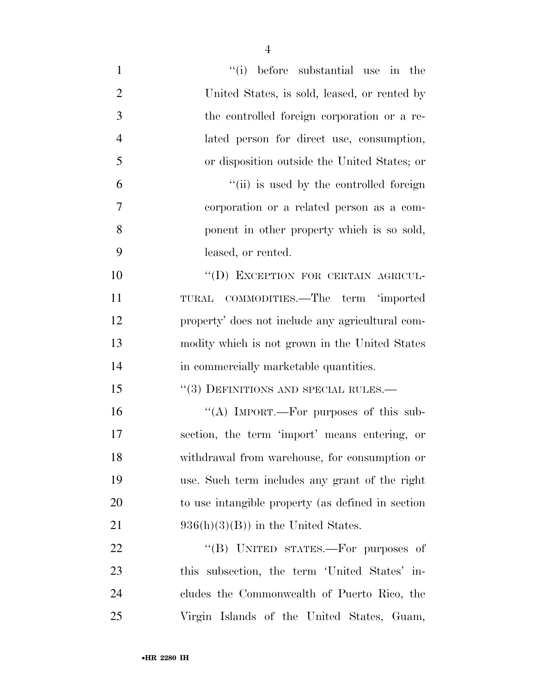| $\mathbf{1}$   | ``(i)<br>before substantial use in the            |
|----------------|---------------------------------------------------|
| $\overline{2}$ | United States, is sold, leased, or rented by      |
| 3              | the controlled foreign corporation or a re-       |
| $\overline{4}$ | lated person for direct use, consumption,         |
| 5              | or disposition outside the United States; or      |
| 6              | "(ii) is used by the controlled foreign           |
| 7              | corporation or a related person as a com-         |
| 8              | ponent in other property which is so sold,        |
| 9              | leased, or rented.                                |
| 10             | "(D) EXCEPTION FOR CERTAIN AGRICUL-               |
| 11             | TURAL COMMODITIES.—The term 'imported             |
| 12             | property' does not include any agricultural com-  |
| 13             | modity which is not grown in the United States    |
| 14             | in commercially marketable quantities.            |
| 15             | $``(3)$ DEFINITIONS AND SPECIAL RULES.—           |
| 16             | "(A) IMPORT.—For purposes of this sub-            |
| 17             | section, the term 'import' means entering, or     |
| 18             | withdrawal from warehouse, for consumption or     |
| 19             | use. Such term includes any grant of the right    |
| 20             | to use intangible property (as defined in section |
| 21             | $936(h)(3)(B)$ in the United States.              |
| 22             | "(B) UNITED STATES.—For purposes of               |
| 23             | this subsection, the term 'United States' in-     |
| 24             | cludes the Commonwealth of Puerto Rico, the       |
| 25             | Virgin Islands of the United States, Guam,        |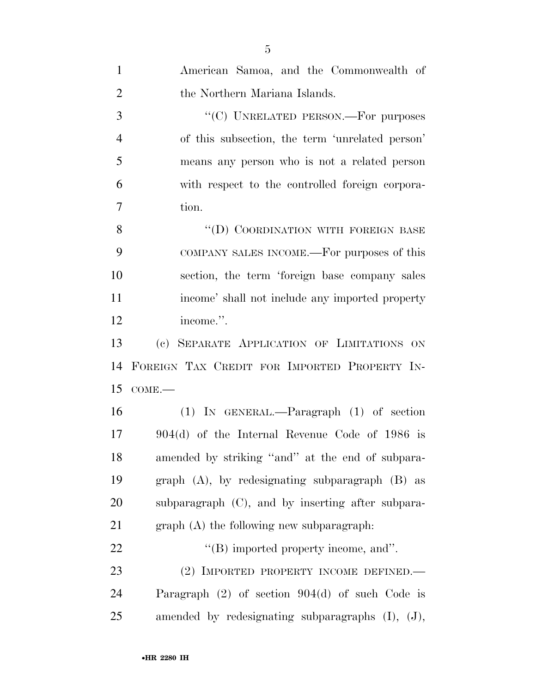| $\mathbf{1}$   | American Samoa, and the Commonwealth of                |
|----------------|--------------------------------------------------------|
| $\overline{2}$ | the Northern Mariana Islands.                          |
| 3              | "(C) UNRELATED PERSON.—For purposes                    |
| $\overline{4}$ | of this subsection, the term 'unrelated person'        |
| 5              | means any person who is not a related person           |
| 6              | with respect to the controlled foreign corpora-        |
| 7              | tion.                                                  |
| 8              | "(D) COORDINATION WITH FOREIGN BASE                    |
| 9              | COMPANY SALES INCOME.—For purposes of this             |
| 10             | section, the term 'foreign base company sales          |
| 11             | income' shall not include any imported property        |
| 12             | income.".                                              |
| 13             | (c) SEPARATE APPLICATION OF LIMITATIONS ON             |
| 14             | FOREIGN TAX CREDIT FOR IMPORTED PROPERTY IN-           |
| 15             | $COME$ .                                               |
| 16             | $(1)$ IN GENERAL.—Paragraph $(1)$ of section           |
| 17             | $904(d)$ of the Internal Revenue Code of 1986 is       |
| 18             | amended by striking "and" at the end of subpara-       |
| 19             | graph $(A)$ , by redesignating subparagraph $(B)$ as   |
| 20             | subparagraph $(C)$ , and by inserting after subpara-   |
| 21             | $graph(A)$ the following new subparagraph:             |
| 22             | $\lq\lq$ . imported property income, and".             |
| 23             | (2) IMPORTED PROPERTY INCOME DEFINED.—                 |
| 24             | Paragraph $(2)$ of section $904(d)$ of such Code is    |
| 25             | amended by redesignating subparagraphs $(I)$ , $(J)$ , |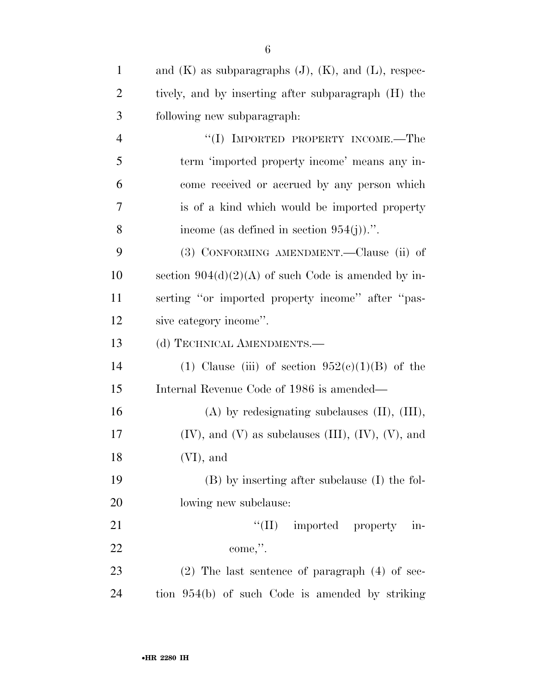| $\mathbf{1}$   | and $(K)$ as subparagraphs $(J)$ , $(K)$ , and $(L)$ , respec-  |
|----------------|-----------------------------------------------------------------|
| $\overline{2}$ | tively, and by inserting after subparagraph (H) the             |
| 3              | following new subparagraph:                                     |
| $\overline{4}$ | "(I) IMPORTED PROPERTY INCOME.—The                              |
| 5              | term 'imported property income' means any in-                   |
| 6              | come received or accrued by any person which                    |
| 7              | is of a kind which would be imported property                   |
| 8              | income (as defined in section $954(j)$ ).".                     |
| 9              | (3) CONFORMING AMENDMENT.—Clause (ii) of                        |
| 10             | section $904(d)(2)(A)$ of such Code is amended by in-           |
| 11             | serting "or imported property income" after "pas-               |
| 12             | sive category income".                                          |
| 13             | (d) TECHNICAL AMENDMENTS.-                                      |
| 14             | (1) Clause (iii) of section $952(e)(1)(B)$ of the               |
| 15             | Internal Revenue Code of 1986 is amended—                       |
| 16             | $(A)$ by redesignating subclauses $(II)$ , $(III)$ ,            |
| 17             | $(IV)$ , and $(V)$ as subclauses $(III)$ , $(IV)$ , $(V)$ , and |
| 18             | $(VI)$ , and                                                    |
| 19             | (B) by inserting after subclause (I) the fol-                   |
| 20             | lowing new subclause:                                           |
| 21             | $\lq\lq$ (II) imported property in-                             |
| 22             | come,".                                                         |
| 23             | $(2)$ The last sentence of paragraph $(4)$ of sec-              |
| 24             | tion 954(b) of such Code is amended by striking                 |